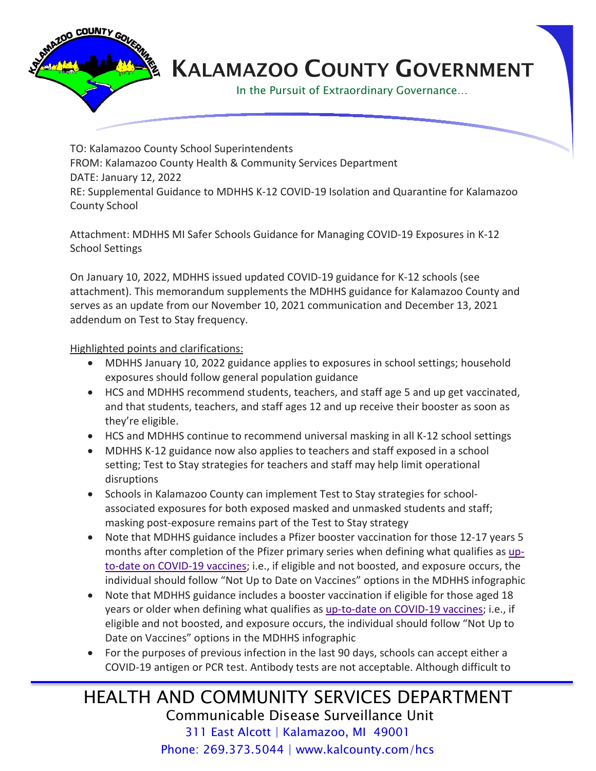

## KALAMAZOO COUNTY GOVERNMENT

In the Pursuit of Extraordinary Governance…

TO: Kalamazoo County School Superintendents FROM: Kalamazoo County Health & Community Services Department DATE: January 12, 2022 RE: Supplemental Guidance to MDHHS K-12 COVID-19 Isolation and Quarantine for Kalamazoo County School

Attachment: MDHHS MI Safer Schools Guidance for Managing COVID-19 Exposures in K-12 School Settings

On January 10, 2022, MDHHS issued updated COVID-19 guidance for K-12 schools (see attachment). This memorandum supplements the MDHHS guidance for Kalamazoo County and serves as an update from our November 10, 2021 communication and December 13, 2021 addendum on Test to Stay frequency.

Highlighted points and clarifications:

- MDHHS January 10, 2022 guidance applies to exposures in school settings; household exposures should follow general population guidance
- HCS and MDHHS recommend students, teachers, and staff age 5 and up get vaccinated, and that students, teachers, and staff ages 12 and up receive their booster as soon as they're eligible.
- HCS and MDHHS continue to recommend universal masking in all K-12 school settings
- MDHHS K-12 guidance now also applies to teachers and staff exposed in a school setting; Test to Stay strategies for teachers and staff may help limit operational disruptions
- Schools in Kalamazoo County can implement Test to Stay strategies for schoolassociated exposures for both exposed masked and unmasked students and staff; masking post-exposure remains part of the Test to Stay strategy
- Note that MDHHS guidance includes a Pfizer booster vaccination for those 12-17 years 5 months after completion of the Pfizer primary series when defining what qualifies as [up](https://www.cdc.gov/coronavirus/2019-ncov/vaccines/stay-up-to-date.html)[to-date on COVID-19 vaccines;](https://www.cdc.gov/coronavirus/2019-ncov/vaccines/stay-up-to-date.html) i.e., if eligible and not boosted, and exposure occurs, the individual should follow "Not Up to Date on Vaccines" options in the MDHHS infographic
- Note that MDHHS guidance includes a booster vaccination if eligible for those aged 18 years or older when defining what qualifies a[s up-to-date on COVID-19 vaccines;](https://www.cdc.gov/coronavirus/2019-ncov/vaccines/stay-up-to-date.html) i.e., if eligible and not boosted, and exposure occurs, the individual should follow "Not Up to Date on Vaccines" options in the MDHHS infographic
- For the purposes of previous infection in the last 90 days, schools can accept either a COVID-19 antigen or PCR test. Antibody tests are not acceptable. Although difficult to

## HEALTH AND COMMUNITY SERVICES DEPARTMENT Communicable Disease Surveillance Unit 311 East Alcott | Kalamazoo, MI 49001 Phone: 269.373.5044 | www.kalcounty.com/hcs